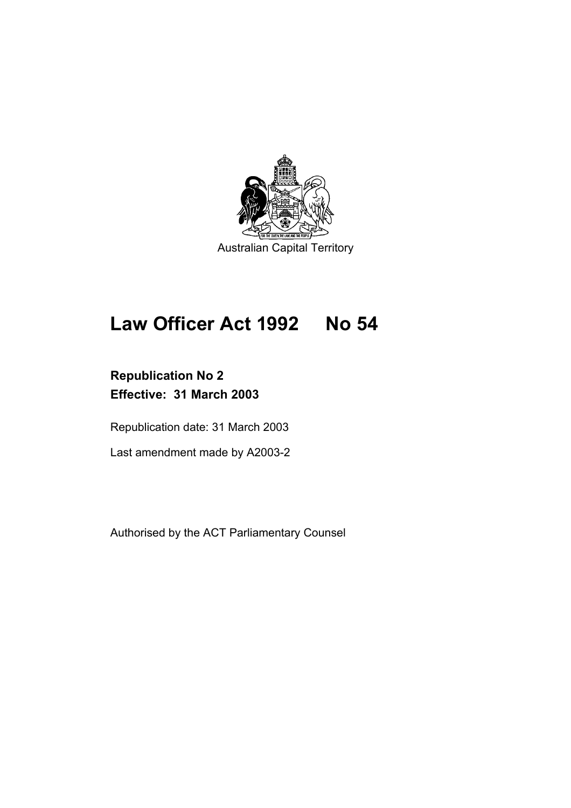

# **Law Officer Act 1992 No 54**

# **Republication No 2 Effective: 31 March 2003**

Republication date: 31 March 2003

Last amendment made by A2003-2

Authorised by the ACT Parliamentary Counsel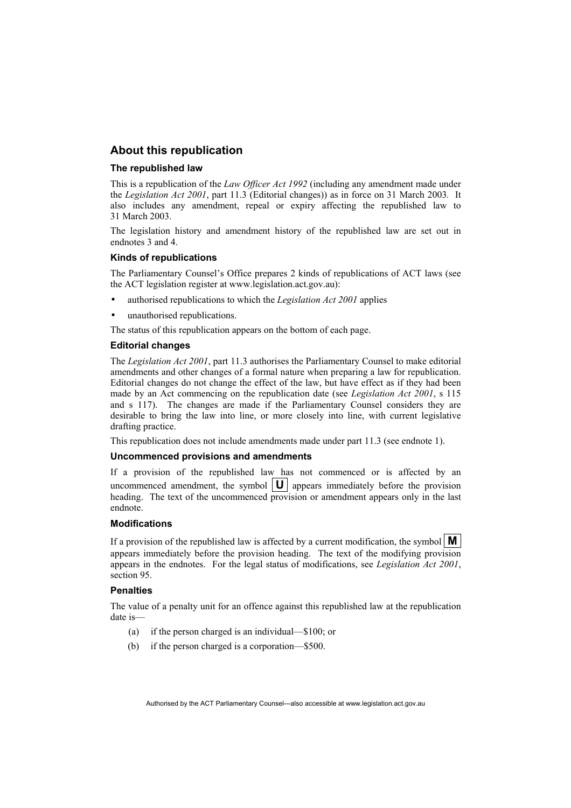# **About this republication**

#### **The republished law**

This is a republication of the *Law Officer Act 1992* (including any amendment made under the *Legislation Act 2001*, part 11.3 (Editorial changes)) as in force on 31 March 2003*.* It also includes any amendment, repeal or expiry affecting the republished law to 31 March 2003.

The legislation history and amendment history of the republished law are set out in endnotes 3 and 4.

#### **Kinds of republications**

The Parliamentary Counsel's Office prepares 2 kinds of republications of ACT laws (see the ACT legislation register at www.legislation.act.gov.au):

- authorised republications to which the *Legislation Act 2001* applies
- unauthorised republications.

The status of this republication appears on the bottom of each page.

#### **Editorial changes**

The *Legislation Act 2001*, part 11.3 authorises the Parliamentary Counsel to make editorial amendments and other changes of a formal nature when preparing a law for republication. Editorial changes do not change the effect of the law, but have effect as if they had been made by an Act commencing on the republication date (see *Legislation Act 2001*, s 115 and s 117). The changes are made if the Parliamentary Counsel considers they are desirable to bring the law into line, or more closely into line, with current legislative drafting practice.

This republication does not include amendments made under part 11.3 (see endnote 1).

#### **Uncommenced provisions and amendments**

If a provision of the republished law has not commenced or is affected by an uncommenced amendment, the symbol  $\|\mathbf{U}\|$  appears immediately before the provision heading. The text of the uncommenced provision or amendment appears only in the last endnote.

#### **Modifications**

If a provision of the republished law is affected by a current modification, the symbol  $\mathbf{M}$ appears immediately before the provision heading. The text of the modifying provision appears in the endnotes. For the legal status of modifications, see *Legislation Act 2001*, section 95.

#### **Penalties**

The value of a penalty unit for an offence against this republished law at the republication date is—

- (a) if the person charged is an individual—\$100; or
- (b) if the person charged is a corporation—\$500.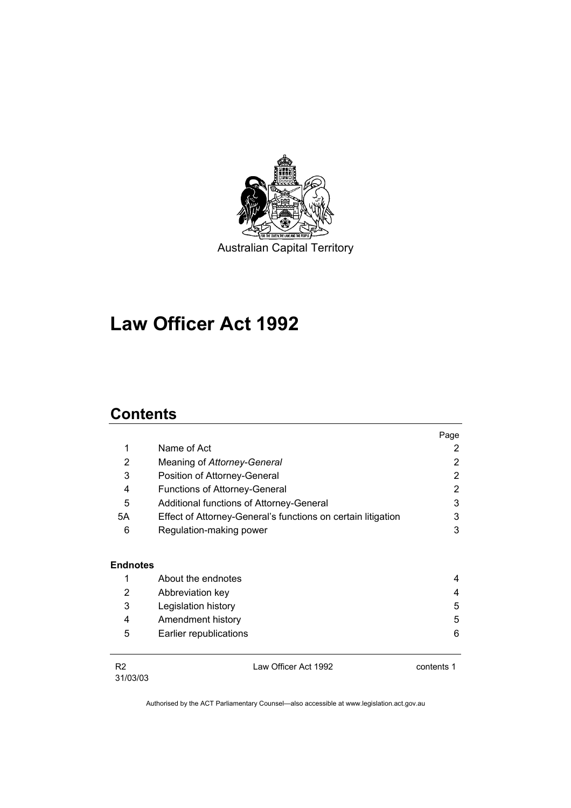

# **Law Officer Act 1992**

# **Contents**

|                |                                                              | Page       |
|----------------|--------------------------------------------------------------|------------|
| 1              | Name of Act                                                  | 2          |
| 2              | Meaning of Attorney-General                                  | 2          |
| 3              | Position of Attorney-General                                 | 2          |
| 4              | <b>Functions of Attorney-General</b>                         | 2          |
| 5              | Additional functions of Attorney-General                     | 3          |
| 5A             | Effect of Attorney-General's functions on certain litigation | 3          |
| 6              | Regulation-making power                                      | 3          |
| Endnotes       |                                                              |            |
| 1              | About the endnotes                                           | 4          |
| 2              | Abbreviation key                                             | 4          |
| 3              | Legislation history                                          | 5          |
| 4              | Amendment history                                            | 5          |
| 5              | Earlier republications                                       | 6          |
| R <sub>2</sub> | Law Officer Act 1992                                         | contents 1 |

R2 31/03/03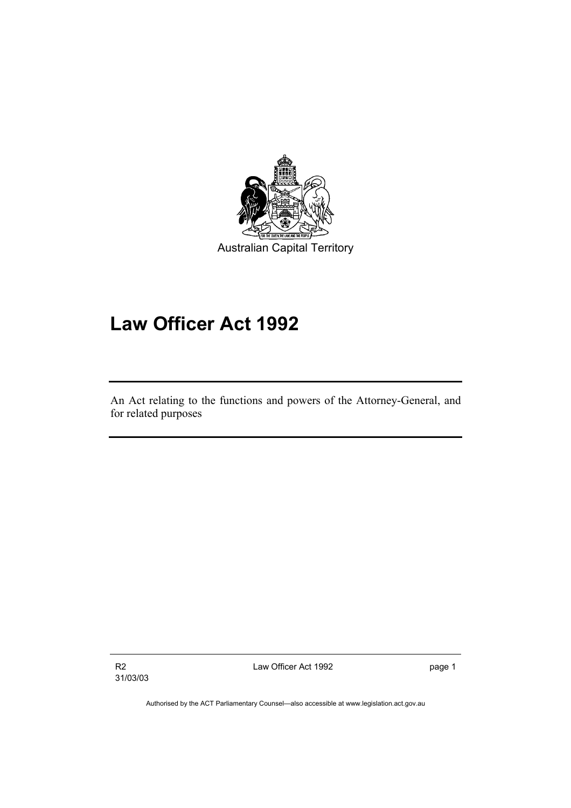

# **Law Officer Act 1992**

An Act relating to the functions and powers of the Attorney-General, and for related purposes

R2 31/03/03 Law Officer Act 1992 **page 1**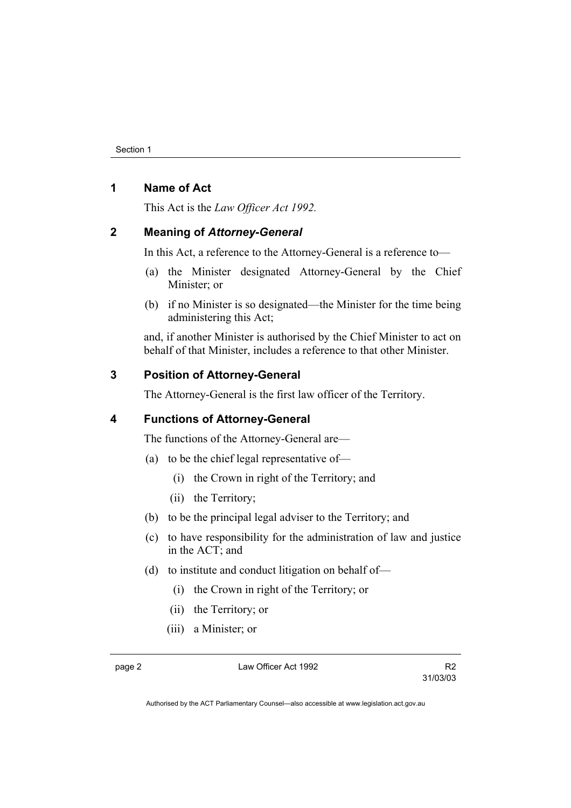# **1 Name of Act**

This Act is the *Law Officer Act 1992.*

# **2 Meaning of** *Attorney-General*

In this Act, a reference to the Attorney-General is a reference to—

- (a) the Minister designated Attorney-General by the Chief Minister; or
- (b) if no Minister is so designated—the Minister for the time being administering this Act;

and, if another Minister is authorised by the Chief Minister to act on behalf of that Minister, includes a reference to that other Minister.

# **3 Position of Attorney-General**

The Attorney-General is the first law officer of the Territory.

# **4 Functions of Attorney-General**

The functions of the Attorney-General are—

- (a) to be the chief legal representative of—
	- (i) the Crown in right of the Territory; and
	- (ii) the Territory;
- (b) to be the principal legal adviser to the Territory; and
- (c) to have responsibility for the administration of law and justice in the ACT; and
- (d) to institute and conduct litigation on behalf of—
	- (i) the Crown in right of the Territory; or
	- (ii) the Territory; or
	- (iii) a Minister; or

page 2 Law Officer Act 1992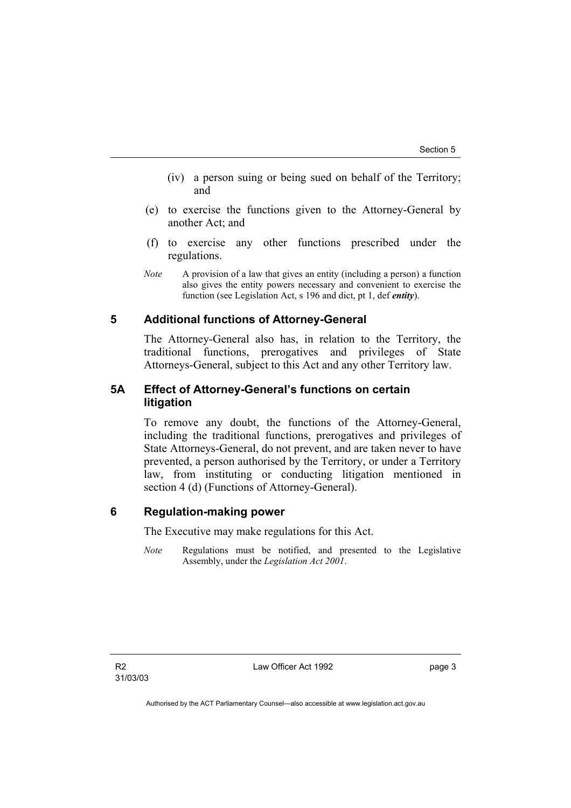- (iv) a person suing or being sued on behalf of the Territory; and
- (e) to exercise the functions given to the Attorney-General by another Act; and
- (f) to exercise any other functions prescribed under the regulations.
- *Note* A provision of a law that gives an entity (including a person) a function also gives the entity powers necessary and convenient to exercise the function (see Legislation Act, s 196 and dict, pt 1, def *entity*).

# **5 Additional functions of Attorney-General**

The Attorney-General also has, in relation to the Territory, the traditional functions, prerogatives and privileges of State Attorneys-General, subject to this Act and any other Territory law.

# **5A Effect of Attorney-General's functions on certain litigation**

To remove any doubt, the functions of the Attorney-General, including the traditional functions, prerogatives and privileges of State Attorneys-General, do not prevent, and are taken never to have prevented, a person authorised by the Territory, or under a Territory law, from instituting or conducting litigation mentioned in section 4 (d) (Functions of Attorney-General).

# **6 Regulation-making power**

The Executive may make regulations for this Act.

*Note* Regulations must be notified, and presented to the Legislative Assembly, under the *Legislation Act 2001*.

Law Officer Act 1992 **page 3**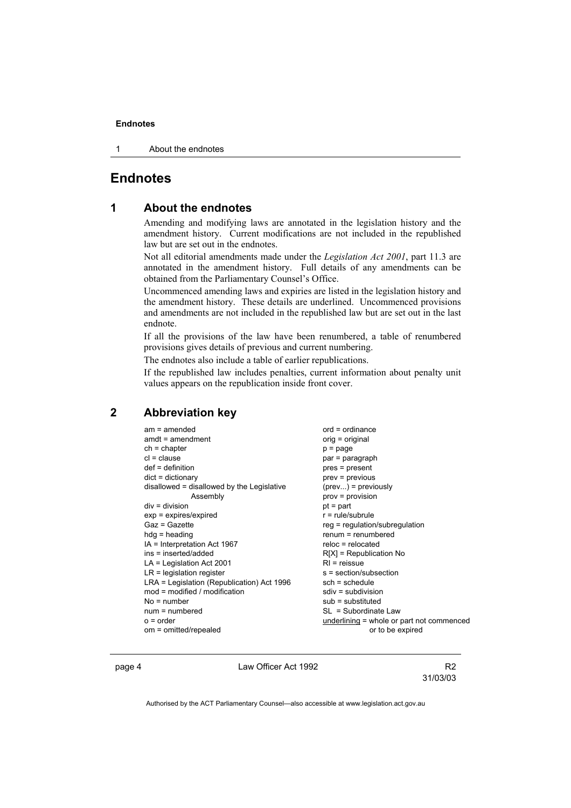#### **Endnotes**

1 About the endnotes

# **Endnotes**

### **1 About the endnotes**

Amending and modifying laws are annotated in the legislation history and the amendment history. Current modifications are not included in the republished law but are set out in the endnotes.

Not all editorial amendments made under the *Legislation Act 2001*, part 11.3 are annotated in the amendment history. Full details of any amendments can be obtained from the Parliamentary Counsel's Office.

Uncommenced amending laws and expiries are listed in the legislation history and the amendment history. These details are underlined. Uncommenced provisions and amendments are not included in the republished law but are set out in the last endnote.

If all the provisions of the law have been renumbered, a table of renumbered provisions gives details of previous and current numbering.

The endnotes also include a table of earlier republications.

If the republished law includes penalties, current information about penalty unit values appears on the republication inside front cover.

#### **2 Abbreviation key**

| $am = amended$                             | $ord = ordinance$                         |  |
|--------------------------------------------|-------------------------------------------|--|
| $amdt = amendment$                         | orig = original                           |  |
| $ch = chapter$                             | p = page                                  |  |
| $cl = clause$                              | par = paragraph                           |  |
| $def = definition$                         | pres = present                            |  |
| $dict = dictionary$                        | prev = previous                           |  |
| disallowed = disallowed by the Legislative | $(\text{prev})$ = previously              |  |
| Assembly                                   | prov = provision                          |  |
| $div = division$                           | $pt = part$                               |  |
| $exp = expires/expired$                    | $r = rule/subrule$                        |  |
| Gaz = Gazette                              | $reg = regulation/subregulation$          |  |
| $hda =$ heading                            | $renum = renumbered$                      |  |
| $IA = Interpretation Act 1967$             | $reloc = relocated$                       |  |
| ins = inserted/added                       | $R[X]$ = Republication No                 |  |
| $LA =$ Legislation Act 2001                | $RI =$ reissue                            |  |
| $LR =$ legislation register                | s = section/subsection                    |  |
| LRA = Legislation (Republication) Act 1996 | $sch = schedule$                          |  |
| mod = modified / modification              | $sdiv = subdivision$                      |  |
| $No = number$                              | $sub =$ substituted                       |  |
| $num = numbered$                           | $SL = Subordinate$ Law                    |  |
| $o = order$                                | underlining = whole or part not commenced |  |
| om = omitted/repealed                      | or to be expired                          |  |

page 4 Law Officer Act 1992

31/03/03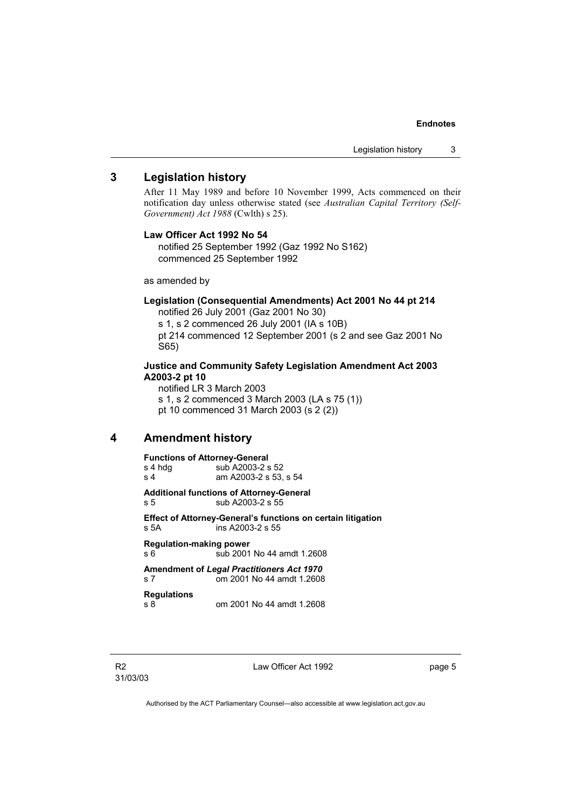#### **Endnotes**

### **3 Legislation history**

After 11 May 1989 and before 10 November 1999, Acts commenced on their notification day unless otherwise stated (see *Australian Capital Territory (Self-Government) Act 1988* (Cwlth) s 25).

#### **Law Officer Act 1992 No 54**

notified 25 September 1992 (Gaz 1992 No S162) commenced 25 September 1992

as amended by

#### **Legislation (Consequential Amendments) Act 2001 No 44 pt 214**

notified 26 July 2001 (Gaz 2001 No 30) s 1, s 2 commenced 26 July 2001 (IA s 10B) pt 214 commenced 12 September 2001 (s 2 and see Gaz 2001 No S65)

#### **Justice and Community Safety Legislation Amendment Act 2003 A2003-2 pt 10**

notified LR 3 March 2003 s 1, s 2 commenced 3 March 2003 (LA s 75 (1)) pt 10 commenced 31 March 2003 (s 2 (2))

# **4 Amendment history**

### **Functions of Attorney-General**  s 4 hdg sub A2003-2 s 52<br>s 4 am A2003-2 s 53. am A2003-2 s 53, s 54 **Additional functions of Attorney-General**  s 5 sub A2003-2 s 55 **Effect of Attorney-General's functions on certain litigation**  s 5A ins A2003-2 s 55 **Regulation-making power**  s 6 sub 2001 No 44 amdt 1.2608 **Amendment of** *Legal Practitioners Act 1970* s 7 om 2001 No 44 amdt 1.2608 **Regulations**  s 8 om 2001 No 44 amdt 1.2608

Law Officer Act 1992 **page 5**